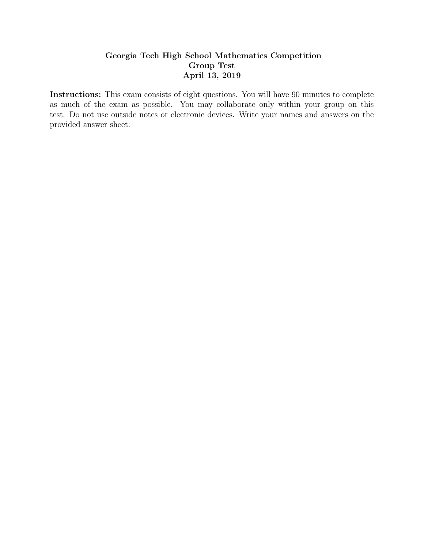## Georgia Tech High School Mathematics Competition Group Test April 13, 2019

Instructions: This exam consists of eight questions. You will have 90 minutes to complete as much of the exam as possible. You may collaborate only within your group on this test. Do not use outside notes or electronic devices. Write your names and answers on the provided answer sheet.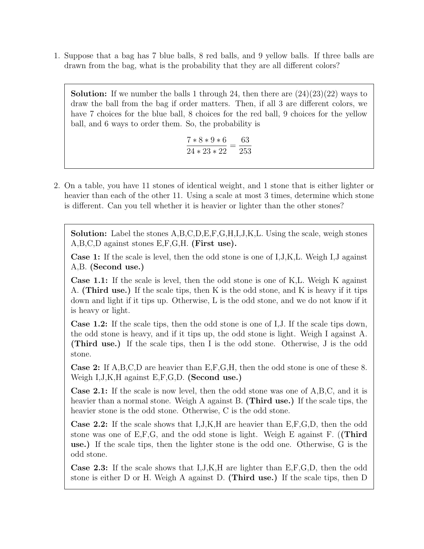1. Suppose that a bag has 7 blue balls, 8 red balls, and 9 yellow balls. If three balls are drawn from the bag, what is the probability that they are all different colors?

**Solution:** If we number the balls 1 through 24, then there are  $(24)(23)(22)$  ways to draw the ball from the bag if order matters. Then, if all 3 are different colors, we have 7 choices for the blue ball, 8 choices for the red ball, 9 choices for the yellow ball, and 6 ways to order them. So, the probability is

$$
\frac{7*8*9*6}{24*23*22} = \frac{63}{253}
$$

2. On a table, you have 11 stones of identical weight, and 1 stone that is either lighter or heavier than each of the other 11. Using a scale at most 3 times, determine which stone is different. Can you tell whether it is heavier or lighter than the other stones?

Solution: Label the stones A,B,C,D,E,F,G,H,I,J,K,L. Using the scale, weigh stones A,B,C,D against stones E,F,G,H. (First use).

Case 1: If the scale is level, then the odd stone is one of I,J,K,L. Weigh I,J against A,B. (Second use.)

Case 1.1: If the scale is level, then the odd stone is one of K,L. Weigh K against A. (Third use.) If the scale tips, then K is the odd stone, and K is heavy if it tips down and light if it tips up. Otherwise, L is the odd stone, and we do not know if it is heavy or light.

Case 1.2: If the scale tips, then the odd stone is one of I,J. If the scale tips down, the odd stone is heavy, and if it tips up, the odd stone is light. Weigh I against A. (Third use.) If the scale tips, then I is the odd stone. Otherwise, J is the odd stone.

Case 2: If A,B,C,D are heavier than E,F,G,H, then the odd stone is one of these 8. Weigh I,J,K,H against E,F,G,D. (Second use.)

Case 2.1: If the scale is now level, then the odd stone was one of A,B,C, and it is heavier than a normal stone. Weigh A against B. (Third use.) If the scale tips, the heavier stone is the odd stone. Otherwise, C is the odd stone.

Case 2.2: If the scale shows that I,J,K,H are heavier than E,F,G,D, then the odd stone was one of  $E, F, G$ , and the odd stone is light. Weigh E against F. (**Third** use.) If the scale tips, then the lighter stone is the odd one. Otherwise, G is the odd stone.

**Case 2.3:** If the scale shows that  $I, J, K, H$  are lighter than  $E, F, G, D$ , then the odd stone is either D or H. Weigh A against D. (Third use.) If the scale tips, then D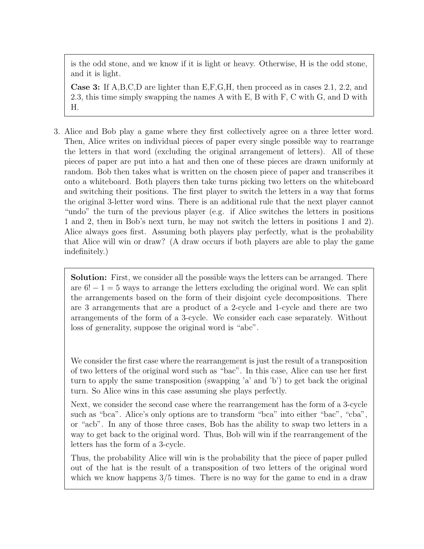is the odd stone, and we know if it is light or heavy. Otherwise, H is the odd stone, and it is light.

Case 3: If A,B,C,D are lighter than E,F,G,H, then proceed as in cases 2.1, 2.2, and 2.3, this time simply swapping the names A with E, B with F, C with G, and D with H.

3. Alice and Bob play a game where they first collectively agree on a three letter word. Then, Alice writes on individual pieces of paper every single possible way to rearrange the letters in that word (excluding the original arrangement of letters). All of these pieces of paper are put into a hat and then one of these pieces are drawn uniformly at random. Bob then takes what is written on the chosen piece of paper and transcribes it onto a whiteboard. Both players then take turns picking two letters on the whiteboard and switching their positions. The first player to switch the letters in a way that forms the original 3-letter word wins. There is an additional rule that the next player cannot "undo" the turn of the previous player (e.g. if Alice switches the letters in positions 1 and 2, then in Bob's next turn, he may not switch the letters in positions 1 and 2). Alice always goes first. Assuming both players play perfectly, what is the probability that Alice will win or draw? (A draw occurs if both players are able to play the game indefinitely.)

Solution: First, we consider all the possible ways the letters can be arranged. There are  $6! - 1 = 5$  ways to arrange the letters excluding the original word. We can split the arrangements based on the form of their disjoint cycle decompositions. There are 3 arrangements that are a product of a 2-cycle and 1-cycle and there are two arrangements of the form of a 3-cycle. We consider each case separately. Without loss of generality, suppose the original word is "abc".

We consider the first case where the rearrangement is just the result of a transposition of two letters of the original word such as "bac". In this case, Alice can use her first turn to apply the same transposition (swapping 'a' and 'b') to get back the original turn. So Alice wins in this case assuming she plays perfectly.

Next, we consider the second case where the rearrangement has the form of a 3-cycle such as "bca". Alice's only options are to transform "bca" into either "bac", "cba", or "acb". In any of those three cases, Bob has the ability to swap two letters in a way to get back to the original word. Thus, Bob will win if the rearrangement of the letters has the form of a 3-cycle.

Thus, the probability Alice will win is the probability that the piece of paper pulled out of the hat is the result of a transposition of two letters of the original word which we know happens  $3/5$  times. There is no way for the game to end in a draw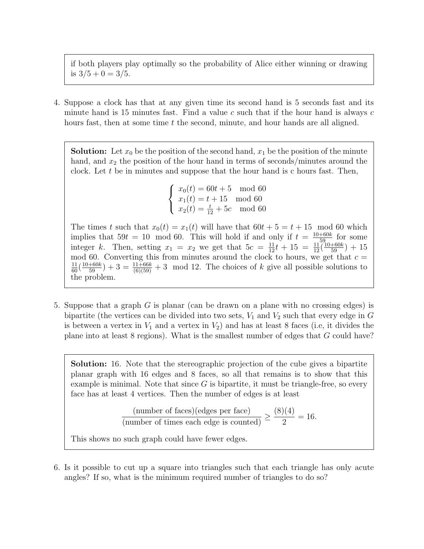if both players play optimally so the probability of Alice either winning or drawing is  $3/5 + 0 = 3/5$ .

4. Suppose a clock has that at any given time its second hand is 5 seconds fast and its minute hand is 15 minutes fast. Find a value c such that if the hour hand is always  $c$ hours fast, then at some time  $t$  the second, minute, and hour hands are all aligned.

**Solution:** Let  $x_0$  be the position of the second hand,  $x_1$  be the position of the minute hand, and  $x_2$  the position of the hour hand in terms of seconds/minutes around the clock. Let  $t$  be in minutes and suppose that the hour hand is c hours fast. Then,

$$
\begin{cases}\n x_0(t) = 60t + 5 \mod 60 \\
x_1(t) = t + 15 \mod 60 \\
x_2(t) = \frac{t}{12} + 5c \mod 60\n\end{cases}
$$

The times t such that  $x_0(t) = x_1(t)$  will have that  $60t + 5 = t + 15 \mod 60$  which implies that  $59t = 10 \mod 60$ . This will hold if and only if  $t = \frac{10+60k}{159}$  for some integer k. Then, setting  $x_1 = x_2$  we get that  $5c = \frac{11}{12}t + 15 = \frac{11}{12}(\frac{10+60k}{59}) + 15$ mod 60. Converting this from minutes around the clock to hours, we get that  $c =$  $\frac{11}{60}(\frac{10+60k}{59})+3=\frac{11+66k}{(6)(59)}+3 \mod 12$ . The choices of k give all possible solutions to the problem.

5. Suppose that a graph  $G$  is planar (can be drawn on a plane with no crossing edges) is bipartite (the vertices can be divided into two sets,  $V_1$  and  $V_2$  such that every edge in G is between a vertex in  $V_1$  and a vertex in  $V_2$ ) and has at least 8 faces (i.e, it divides the plane into at least 8 regions). What is the smallest number of edges that G could have?

Solution: 16. Note that the stereographic projection of the cube gives a bipartite planar graph with 16 edges and 8 faces, so all that remains is to show that this example is minimal. Note that since  $G$  is bipartite, it must be triangle-free, so every face has at least 4 vertices. Then the number of edges is at least

(number of faces)(edges per face) 
$$
\frac{(8)(4)}{2} = 16.
$$
 (number of times each edge is counted)  $\geq \frac{(8)(4)}{2} = 16.$ 

This shows no such graph could have fewer edges.

6. Is it possible to cut up a square into triangles such that each triangle has only acute angles? If so, what is the minimum required number of triangles to do so?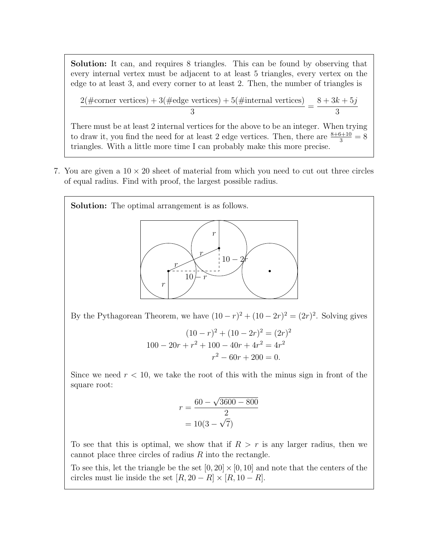Solution: It can, and requires 8 triangles. This can be found by observing that every internal vertex must be adjacent to at least 5 triangles, every vertex on the edge to at least 3, and every corner to at least 2. Then, the number of triangles is

 $2(\text{\#corner}$  vertices) + 3( $\text{\#edge}$  vertices) + 5( $\text{\#internal}$  vertices) 3 =  $8 + 3k + 5j$ 3

There must be at least 2 internal vertices for the above to be an integer. When trying to draw it, you find the need for at least 2 edge vertices. Then, there are  $\frac{8+6+10}{3} = 8$ triangles. With a little more time I can probably make this more precise.

7. You are given a  $10 \times 20$  sheet of material from which you need to cut out three circles of equal radius. Find with proof, the largest possible radius.



By the Pythagorean Theorem, we have  $(10 - r)^2 + (10 - 2r)^2 = (2r)^2$ . Solving gives

$$
(10 - r)2 + (10 - 2r)2 = (2r)2
$$
  
100 - 20r + r<sup>2</sup> + 100 - 40r + 4r<sup>2</sup> = 4r<sup>2</sup>  
r<sup>2</sup> - 60r + 200 = 0.

Since we need  $r < 10$ , we take the root of this with the minus sign in front of the square root:

$$
r = \frac{60 - \sqrt{3600 - 800}}{2}
$$

$$
= 10(3 - \sqrt{7})
$$

To see that this is optimal, we show that if  $R > r$  is any larger radius, then we cannot place three circles of radius  $R$  into the rectangle.

To see this, let the triangle be the set  $[0, 20] \times [0, 10]$  and note that the centers of the circles must lie inside the set  $[R, 20 - R] \times [R, 10 - R]$ .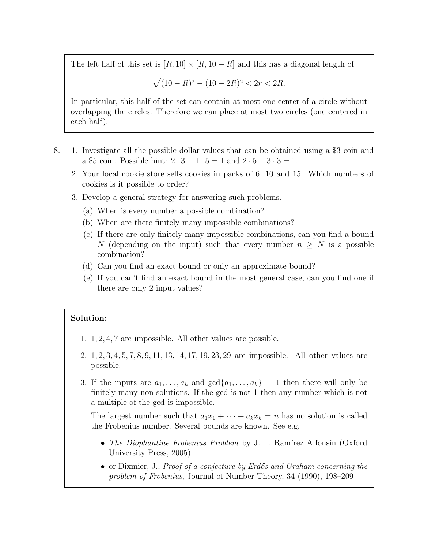The left half of this set is  $[R, 10] \times [R, 10 - R]$  and this has a diagonal length of

$$
\sqrt{(10 - R)^2 - (10 - 2R)^2} < 2r < 2R.
$$

In particular, this half of the set can contain at most one center of a circle without overlapping the circles. Therefore we can place at most two circles (one centered in each half).

- 8. 1. Investigate all the possible dollar values that can be obtained using a \$3 coin and a \$5 coin. Possible hint:  $2 \cdot 3 - 1 \cdot 5 = 1$  and  $2 \cdot 5 - 3 \cdot 3 = 1$ .
	- 2. Your local cookie store sells cookies in packs of 6, 10 and 15. Which numbers of cookies is it possible to order?
	- 3. Develop a general strategy for answering such problems.
		- (a) When is every number a possible combination?
		- (b) When are there finitely many impossible combinations?
		- (c) If there are only finitely many impossible combinations, can you find a bound N (depending on the input) such that every number  $n \geq N$  is a possible combination?
		- (d) Can you find an exact bound or only an approximate bound?
		- (e) If you can't find an exact bound in the most general case, can you find one if there are only 2 input values?

## Solution:

- 1. 1, 2, 4, 7 are impossible. All other values are possible.
- 2. 1, 2, 3, 4, 5, 7, 8, 9, 11, 13, 14, 17, 19, 23, 29 are impossible. All other values are possible.
- 3. If the inputs are  $a_1, \ldots, a_k$  and  $gcd\{a_1, \ldots, a_k\} = 1$  then there will only be finitely many non-solutions. If the gcd is not 1 then any number which is not a multiple of the gcd is impossible.

The largest number such that  $a_1x_1 + \cdots + a_kx_k = n$  has no solution is called the Frobenius number. Several bounds are known. See e.g.

- The Diophantine Frobenius Problem by J. L. Ramírez Alfonsín (Oxford University Press, 2005)
- or Dixmier, J., Proof of a conjecture by Erdős and Graham concerning the problem of Frobenius, Journal of Number Theory, 34 (1990), 198–209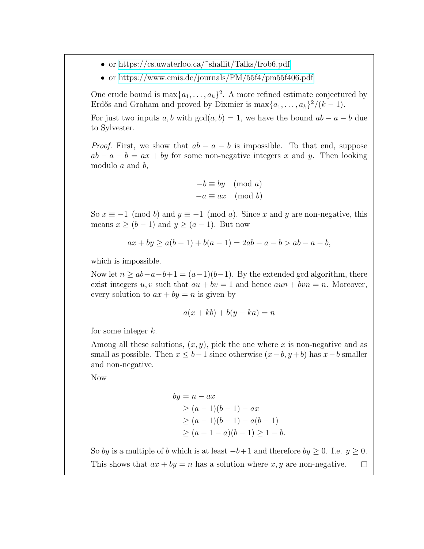- or [https://cs.uwaterloo.ca/˜shallit/Talks/frob6.pdf](https://cs.uwaterloo.ca/~shallit/Talks/frob6.pdf)
- or<https://www.emis.de/journals/PM/55f4/pm55f406.pdf>

One crude bound is  $\max\{a_1, \ldots, a_k\}^2$ . A more refined estimate conjectured by Erdős and Graham and proved by Dixmier is  $\max\{a_1, \ldots, a_k\}^2/(k-1)$ .

For just two inputs  $a, b$  with  $gcd(a, b) = 1$ , we have the bound  $ab - a - b$  due to Sylvester.

*Proof.* First, we show that  $ab - a - b$  is impossible. To that end, suppose  $ab - a - b = ax + by$  for some non-negative integers x and y. Then looking modulo  $a$  and  $b$ ,

$$
-b \equiv by \pmod{a}
$$

$$
-a \equiv ax \pmod{b}
$$

So  $x \equiv -1 \pmod{b}$  and  $y \equiv -1 \pmod{a}$ . Since x and y are non-negative, this means  $x \ge (b-1)$  and  $y \ge (a-1)$ . But now

$$
ax + by \ge a(b - 1) + b(a - 1) = 2ab - a - b > ab - a - b,
$$

which is impossible.

Now let  $n \ge ab - a - b + 1 = (a - 1)(b - 1)$ . By the extended gcd algorithm, there exist integers u, v such that  $au + bv = 1$  and hence  $aun + bw = n$ . Moreover, every solution to  $ax + by = n$  is given by

$$
a(x+kb) + b(y-ka) = n
$$

for some integer  $k$ .

Among all these solutions,  $(x, y)$ , pick the one where x is non-negative and as small as possible. Then  $x \leq b-1$  since otherwise  $(x-b, y+b)$  has  $x-b$  smaller and non-negative.

Now

$$
by = n - ax
$$
  
\n
$$
\geq (a - 1)(b - 1) - ax
$$
  
\n
$$
\geq (a - 1)(b - 1) - a(b - 1)
$$
  
\n
$$
\geq (a - 1 - a)(b - 1) \geq 1 - b.
$$

So by is a multiple of b which is at least  $-b+1$  and therefore by  $\geq 0$ . I.e.  $y \geq 0$ . This shows that  $ax + by = n$  has a solution where  $x, y$  are non-negative.  $\Box$